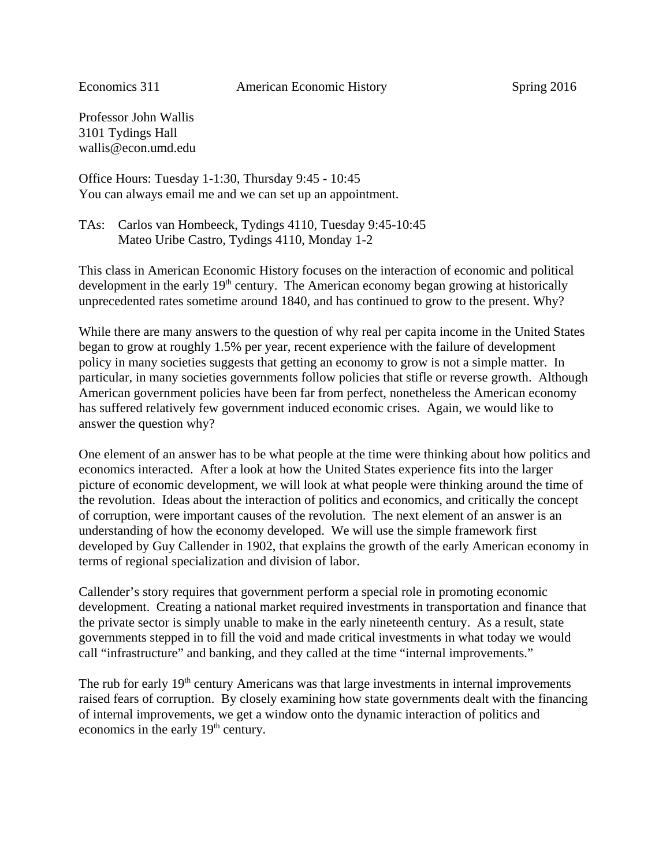Professor John Wallis 3101 Tydings Hall wallis@econ.umd.edu

Office Hours: Tuesday 1-1:30, Thursday 9:45 - 10:45 You can always email me and we can set up an appointment.

TAs: Carlos van Hombeeck, Tydings 4110, Tuesday 9:45-10:45 Mateo Uribe Castro, Tydings 4110, Monday 1-2

This class in American Economic History focuses on the interaction of economic and political development in the early  $19<sup>th</sup>$  century. The American economy began growing at historically unprecedented rates sometime around 1840, and has continued to grow to the present. Why?

While there are many answers to the question of why real per capita income in the United States began to grow at roughly 1.5% per year, recent experience with the failure of development policy in many societies suggests that getting an economy to grow is not a simple matter. In particular, in many societies governments follow policies that stifle or reverse growth. Although American government policies have been far from perfect, nonetheless the American economy has suffered relatively few government induced economic crises. Again, we would like to answer the question why?

One element of an answer has to be what people at the time were thinking about how politics and economics interacted. After a look at how the United States experience fits into the larger picture of economic development, we will look at what people were thinking around the time of the revolution. Ideas about the interaction of politics and economics, and critically the concept of corruption, were important causes of the revolution. The next element of an answer is an understanding of how the economy developed. We will use the simple framework first developed by Guy Callender in 1902, that explains the growth of the early American economy in terms of regional specialization and division of labor.

Callender's story requires that government perform a special role in promoting economic development. Creating a national market required investments in transportation and finance that the private sector is simply unable to make in the early nineteenth century. As a result, state governments stepped in to fill the void and made critical investments in what today we would call "infrastructure" and banking, and they called at the time "internal improvements."

The rub for early 19<sup>th</sup> century Americans was that large investments in internal improvements raised fears of corruption. By closely examining how state governments dealt with the financing of internal improvements, we get a window onto the dynamic interaction of politics and economics in the early 19<sup>th</sup> century.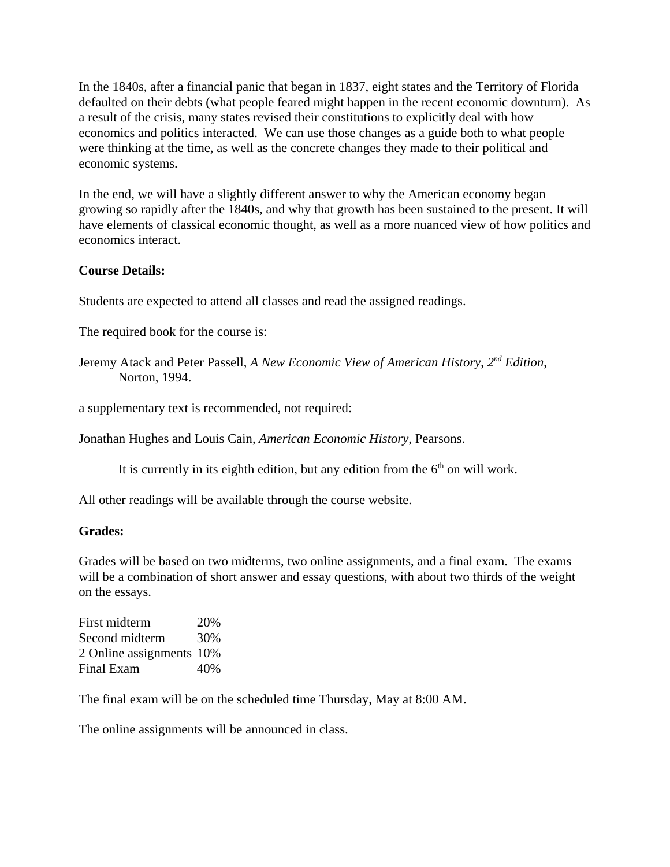In the 1840s, after a financial panic that began in 1837, eight states and the Territory of Florida defaulted on their debts (what people feared might happen in the recent economic downturn). As a result of the crisis, many states revised their constitutions to explicitly deal with how economics and politics interacted. We can use those changes as a guide both to what people were thinking at the time, as well as the concrete changes they made to their political and economic systems.

In the end, we will have a slightly different answer to why the American economy began growing so rapidly after the 1840s, and why that growth has been sustained to the present. It will have elements of classical economic thought, as well as a more nuanced view of how politics and economics interact.

## **Course Details:**

Students are expected to attend all classes and read the assigned readings.

The required book for the course is:

Jeremy Atack and Peter Passell, *A New Economic View of American History*, *2nd Edition*, Norton, 1994.

a supplementary text is recommended, not required:

Jonathan Hughes and Louis Cain, *American Economic History*, Pearsons.

It is currently in its eighth edition, but any edition from the  $6<sup>th</sup>$  on will work.

All other readings will be available through the course website.

## **Grades:**

Grades will be based on two midterms, two online assignments, and a final exam. The exams will be a combination of short answer and essay questions, with about two thirds of the weight on the essays.

First midterm 20% Second midterm 30% 2 Online assignments 10% Final Exam 40%

The final exam will be on the scheduled time Thursday, May at 8:00 AM.

The online assignments will be announced in class.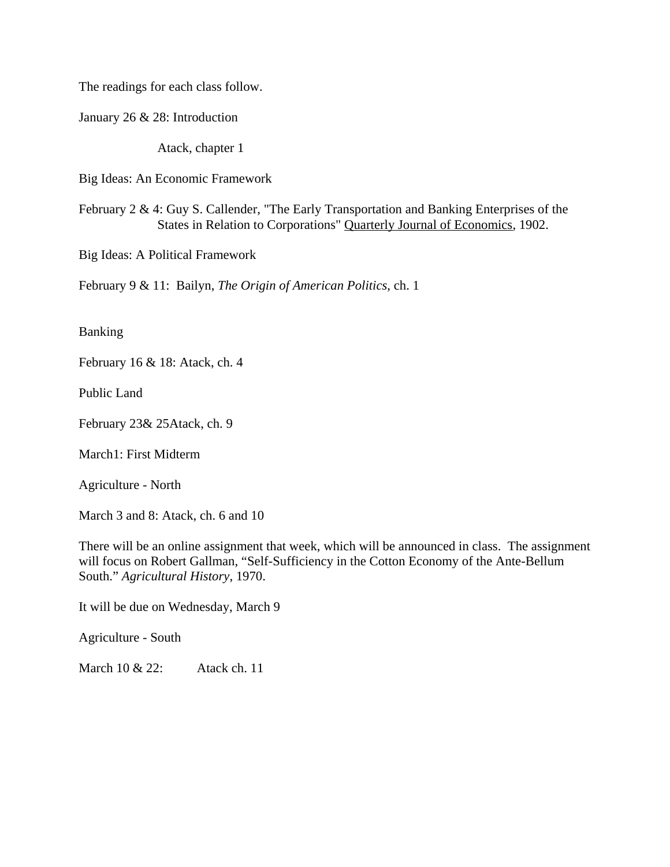The readings for each class follow.

January 26 & 28: Introduction

Atack, chapter 1

Big Ideas: An Economic Framework

February 2 & 4: Guy S. Callender, "The Early Transportation and Banking Enterprises of the States in Relation to Corporations" Quarterly Journal of Economics, 1902.

Big Ideas: A Political Framework

February 9 & 11: Bailyn, *The Origin of American Politics*, ch. 1

Banking

February 16 & 18: Atack, ch. 4

Public Land

February 23& 25Atack, ch. 9

March1: First Midterm

Agriculture - North

March 3 and 8: Atack, ch. 6 and 10

There will be an online assignment that week, which will be announced in class. The assignment will focus on Robert Gallman, "Self-Sufficiency in the Cotton Economy of the Ante-Bellum South." *Agricultural History*, 1970.

It will be due on Wednesday, March 9

Agriculture - South

March 10 & 22: Atack ch. 11